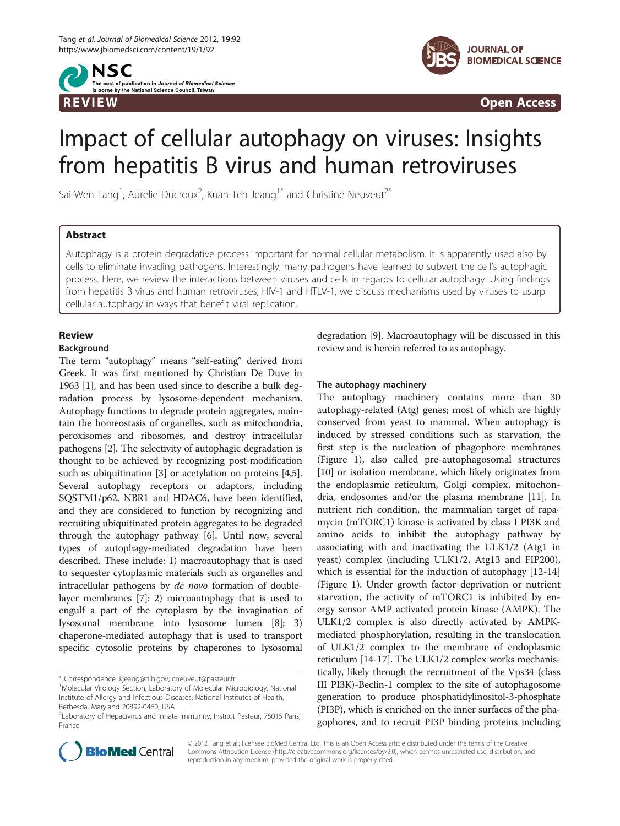



# Impact of cellular autophagy on viruses: Insights from hepatitis B virus and human retroviruses

Sai-Wen Tang<sup>1</sup>, Aurelie Ducroux<sup>2</sup>, Kuan-Teh Jeang<sup>1\*</sup> and Christine Neuveut<sup>2\*</sup>

Autophagy is a protein degradative process important for normal cellular metabolism. It is apparently used also by cells to eliminate invading pathogens. Interestingly, many pathogens have learned to subvert the cell's autophagic process. Here, we review the interactions between viruses and cells in regards to cellular autophagy. Using findings from hepatitis B virus and human retroviruses, HIV-1 and HTLV-1, we discuss mechanisms used by viruses to usurp cellular autophagy in ways that benefit viral replication.

# **Review**

# **Background**

The term "autophagy" means "self-eating" derived from Greek. It was first mentioned by Christian De Duve in 1963 [\[1](#page-7-0)], and has been used since to describe a bulk degradation process by lysosome-dependent mechanism. Autophagy functions to degrade protein aggregates, maintain the homeostasis of organelles, such as mitochondria, peroxisomes and ribosomes, and destroy intracellular pathogens [\[2](#page-7-0)]. The selectivity of autophagic degradation is thought to be achieved by recognizing post-modification such as ubiquitination [\[3](#page-7-0)] or acetylation on proteins [[4](#page-7-0),[5](#page-7-0)]. Several autophagy receptors or adaptors, including SQSTM1/p62, NBR1 and HDAC6, have been identified, and they are considered to function by recognizing and recruiting ubiquitinated protein aggregates to be degraded through the autophagy pathway [[6\]](#page-7-0). Until now, several types of autophagy-mediated degradation have been described. These include: 1) macroautophagy that is used to sequester cytoplasmic materials such as organelles and intracellular pathogens by de novo formation of doublelayer membranes [\[7\]](#page-7-0): 2) microautophagy that is used to engulf a part of the cytoplasm by the invagination of lysosomal membrane into lysosome lumen [[8\]](#page-7-0); 3) chaperone-mediated autophagy that is used to transport specific cytosolic proteins by chaperones to lysosomal

\* Correspondence: [kjeang@nih.gov;](mailto:kjeang@nih.gov) [cneuveut@pasteur.fr](mailto:cneuveut@pasteur.fr) <sup>1</sup>

<sup>1</sup>Molecular Virology Section, Laboratory of Molecular Microbiology, National Institute of Allergy and Infectious Diseases, National Institutes of Health, Bethesda, Maryland 20892-0460, USA



# The autophagy machinery

The autophagy machinery contains more than 30 autophagy-related (Atg) genes; most of which are highly conserved from yeast to mammal. When autophagy is induced by stressed conditions such as starvation, the first step is the nucleation of phagophore membranes (Figure [1\)](#page-1-0), also called pre-autophagosomal structures [[10\]](#page-7-0) or isolation membrane, which likely originates from the endoplasmic reticulum, Golgi complex, mitochondria, endosomes and/or the plasma membrane [\[11](#page-8-0)]. In nutrient rich condition, the mammalian target of rapamycin (mTORC1) kinase is activated by class I PI3K and amino acids to inhibit the autophagy pathway by associating with and inactivating the ULK1/2 (Atg1 in yeast) complex (including ULK1/2, Atg13 and FIP200), which is essential for the induction of autophagy [\[12](#page-8-0)-[14](#page-8-0)] (Figure [1\)](#page-1-0). Under growth factor deprivation or nutrient starvation, the activity of mTORC1 is inhibited by energy sensor AMP activated protein kinase (AMPK). The ULK1/2 complex is also directly activated by AMPKmediated phosphorylation, resulting in the translocation of ULK1/2 complex to the membrane of endoplasmic reticulum [\[14-17](#page-8-0)]. The ULK1/2 complex works mechanistically, likely through the recruitment of the Vps34 (class III PI3K)-Beclin-1 complex to the site of autophagosome generation to produce phosphatidylinositol-3-phosphate (PI3P), which is enriched on the inner surfaces of the phagophores, and to recruit PI3P binding proteins including



© 2012 Tang et al.; licensee BioMed Central Ltd. This is an Open Access article distributed under the terms of the Creative Commons Attribution License [\(http://creativecommons.org/licenses/by/2.0\)](http://creativecommons.org/licenses/by/2.0), which permits unrestricted use, distribution, and reproduction in any medium, provided the original work is properly cited.

<sup>2</sup> Laboratory of Hepacivirus and Innate Immunity, Institut Pasteur, 75015 Paris, France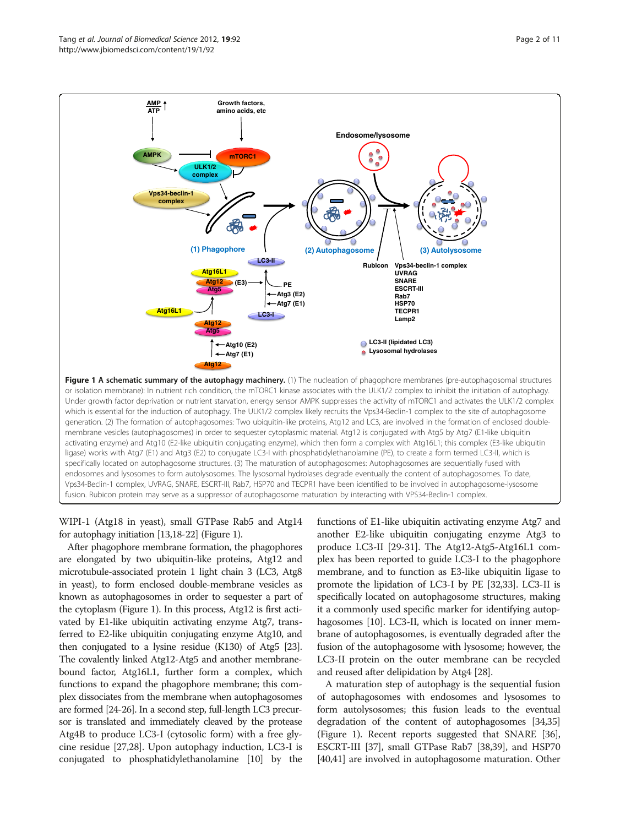<span id="page-1-0"></span>

WIPI-1 (Atg18 in yeast), small GTPase Rab5 and Atg14 for autophagy initiation [\[13,18-22\]](#page-8-0) (Figure 1).

After phagophore membrane formation, the phagophores are elongated by two ubiquitin-like proteins, Atg12 and microtubule-associated protein 1 light chain 3 (LC3, Atg8 in yeast), to form enclosed double-membrane vesicles as known as autophagosomes in order to sequester a part of the cytoplasm (Figure 1). In this process, Atg12 is first activated by E1-like ubiquitin activating enzyme Atg7, transferred to E2-like ubiquitin conjugating enzyme Atg10, and then conjugated to a lysine residue (K130) of Atg5 [\[23](#page-8-0)]. The covalently linked Atg12-Atg5 and another membranebound factor, Atg16L1, further form a complex, which functions to expand the phagophore membrane; this complex dissociates from the membrane when autophagosomes are formed [\[24-26](#page-8-0)]. In a second step, full-length LC3 precursor is translated and immediately cleaved by the protease Atg4B to produce LC3-I (cytosolic form) with a free glycine residue [\[27,28](#page-8-0)]. Upon autophagy induction, LC3-I is conjugated to phosphatidylethanolamine [\[10\]](#page-7-0) by the

functions of E1-like ubiquitin activating enzyme Atg7 and another E2-like ubiquitin conjugating enzyme Atg3 to produce LC3-II [[29-31\]](#page-8-0). The Atg12-Atg5-Atg16L1 complex has been reported to guide LC3-I to the phagophore membrane, and to function as E3-like ubiquitin ligase to promote the lipidation of LC3-I by PE [\[32,33\]](#page-8-0). LC3-II is specifically located on autophagosome structures, making it a commonly used specific marker for identifying autophagosomes [\[10](#page-7-0)]. LC3-II, which is located on inner membrane of autophagosomes, is eventually degraded after the fusion of the autophagosome with lysosome; however, the LC3-II protein on the outer membrane can be recycled and reused after delipidation by Atg4 [[28](#page-8-0)].

A maturation step of autophagy is the sequential fusion of autophagosomes with endosomes and lysosomes to form autolysosomes; this fusion leads to the eventual degradation of the content of autophagosomes [\[34,35](#page-8-0)] (Figure 1). Recent reports suggested that SNARE [[36](#page-8-0)], ESCRT-III [[37](#page-8-0)], small GTPase Rab7 [\[38,39\]](#page-8-0), and HSP70 [[40,41](#page-8-0)] are involved in autophagosome maturation. Other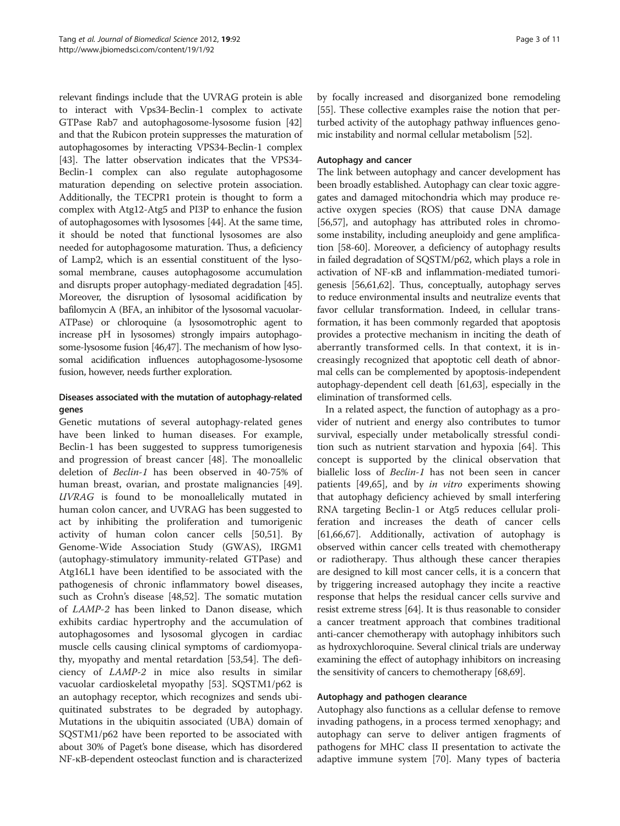relevant findings include that the UVRAG protein is able to interact with Vps34-Beclin-1 complex to activate GTPase Rab7 and autophagosome-lysosome fusion [[42](#page-8-0)] and that the Rubicon protein suppresses the maturation of autophagosomes by interacting VPS34-Beclin-1 complex [[43](#page-8-0)]. The latter observation indicates that the VPS34- Beclin-1 complex can also regulate autophagosome maturation depending on selective protein association. Additionally, the TECPR1 protein is thought to form a complex with Atg12-Atg5 and PI3P to enhance the fusion of autophagosomes with lysosomes [\[44](#page-8-0)]. At the same time, it should be noted that functional lysosomes are also needed for autophagosome maturation. Thus, a deficiency of Lamp2, which is an essential constituent of the lysosomal membrane, causes autophagosome accumulation and disrupts proper autophagy-mediated degradation [[45](#page-8-0)]. Moreover, the disruption of lysosomal acidification by bafilomycin A (BFA, an inhibitor of the lysosomal vacuolar-ATPase) or chloroquine (a lysosomotrophic agent to increase pH in lysosomes) strongly impairs autophagosome-lysosome fusion [\[46,47](#page-8-0)]. The mechanism of how lysosomal acidification influences autophagosome-lysosome fusion, however, needs further exploration.

# Diseases associated with the mutation of autophagy-related genes

Genetic mutations of several autophagy-related genes have been linked to human diseases. For example, Beclin-1 has been suggested to suppress tumorigenesis and progression of breast cancer [\[48](#page-8-0)]. The monoallelic deletion of Beclin-1 has been observed in 40-75% of human breast, ovarian, and prostate malignancies [\[49](#page-8-0)]. UVRAG is found to be monoallelically mutated in human colon cancer, and UVRAG has been suggested to act by inhibiting the proliferation and tumorigenic activity of human colon cancer cells [[50](#page-8-0),[51](#page-8-0)]. By Genome-Wide Association Study (GWAS), IRGM1 (autophagy-stimulatory immunity-related GTPase) and Atg16L1 have been identified to be associated with the pathogenesis of chronic inflammatory bowel diseases, such as Crohn's disease [[48,52\]](#page-8-0). The somatic mutation of LAMP-2 has been linked to Danon disease, which exhibits cardiac hypertrophy and the accumulation of autophagosomes and lysosomal glycogen in cardiac muscle cells causing clinical symptoms of cardiomyopathy, myopathy and mental retardation [\[53,54](#page-8-0)]. The deficiency of LAMP-2 in mice also results in similar vacuolar cardioskeletal myopathy [\[53](#page-8-0)]. SQSTM1/p62 is an autophagy receptor, which recognizes and sends ubiquitinated substrates to be degraded by autophagy. Mutations in the ubiquitin associated (UBA) domain of SQSTM1/p62 have been reported to be associated with about 30% of Paget's bone disease, which has disordered NF-κB-dependent osteoclast function and is characterized

by focally increased and disorganized bone remodeling [[55](#page-8-0)]. These collective examples raise the notion that perturbed activity of the autophagy pathway influences genomic instability and normal cellular metabolism [\[52](#page-8-0)].

## Autophagy and cancer

The link between autophagy and cancer development has been broadly established. Autophagy can clear toxic aggregates and damaged mitochondria which may produce reactive oxygen species (ROS) that cause DNA damage [[56](#page-8-0)[,57](#page-9-0)], and autophagy has attributed roles in chromosome instability, including aneuploidy and gene amplification [[58](#page-9-0)-[60](#page-9-0)]. Moreover, a deficiency of autophagy results in failed degradation of SQSTM/p62, which plays a role in activation of NF-κB and inflammation-mediated tumorigenesis [[56,](#page-8-0)[61,62\]](#page-9-0). Thus, conceptually, autophagy serves to reduce environmental insults and neutralize events that favor cellular transformation. Indeed, in cellular transformation, it has been commonly regarded that apoptosis provides a protective mechanism in inciting the death of aberrantly transformed cells. In that context, it is increasingly recognized that apoptotic cell death of abnormal cells can be complemented by apoptosis-independent autophagy-dependent cell death [\[61,63](#page-9-0)], especially in the elimination of transformed cells.

In a related aspect, the function of autophagy as a provider of nutrient and energy also contributes to tumor survival, especially under metabolically stressful condition such as nutrient starvation and hypoxia [\[64\]](#page-9-0). This concept is supported by the clinical observation that biallelic loss of Beclin-1 has not been seen in cancer patients [\[49](#page-8-0)[,65\]](#page-9-0), and by *in vitro* experiments showing that autophagy deficiency achieved by small interfering RNA targeting Beclin-1 or Atg5 reduces cellular proliferation and increases the death of cancer cells [[61,66,67\]](#page-9-0). Additionally, activation of autophagy is observed within cancer cells treated with chemotherapy or radiotherapy. Thus although these cancer therapies are designed to kill most cancer cells, it is a concern that by triggering increased autophagy they incite a reactive response that helps the residual cancer cells survive and resist extreme stress [\[64\]](#page-9-0). It is thus reasonable to consider a cancer treatment approach that combines traditional anti-cancer chemotherapy with autophagy inhibitors such as hydroxychloroquine. Several clinical trials are underway examining the effect of autophagy inhibitors on increasing the sensitivity of cancers to chemotherapy [\[68,69\]](#page-9-0).

## Autophagy and pathogen clearance

Autophagy also functions as a cellular defense to remove invading pathogens, in a process termed xenophagy; and autophagy can serve to deliver antigen fragments of pathogens for MHC class II presentation to activate the adaptive immune system [[70](#page-9-0)]. Many types of bacteria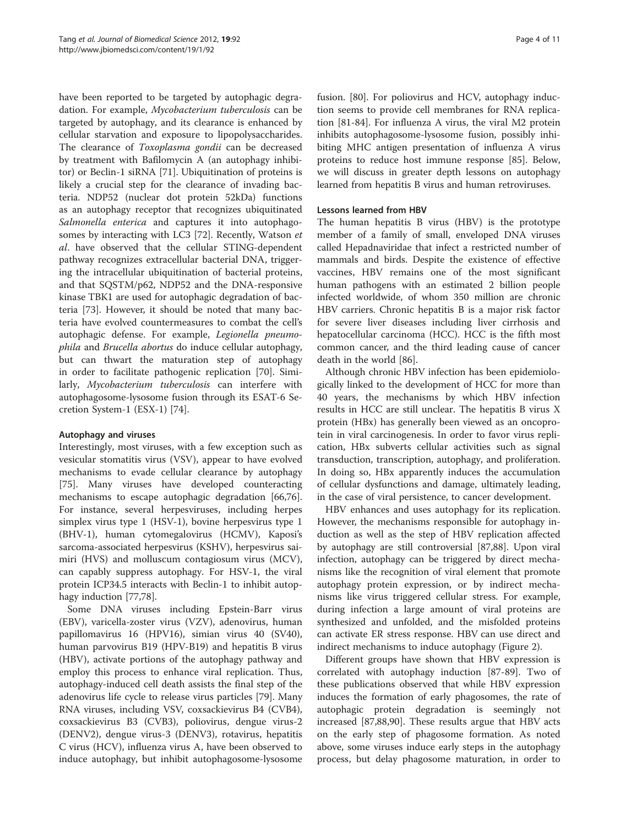have been reported to be targeted by autophagic degradation. For example, Mycobacterium tuberculosis can be targeted by autophagy, and its clearance is enhanced by cellular starvation and exposure to lipopolysaccharides. The clearance of Toxoplasma gondii can be decreased by treatment with Bafilomycin A (an autophagy inhibitor) or Beclin-1 siRNA [\[71\]](#page-9-0). Ubiquitination of proteins is likely a crucial step for the clearance of invading bacteria. NDP52 (nuclear dot protein 52kDa) functions as an autophagy receptor that recognizes ubiquitinated Salmonella enterica and captures it into autophagosomes by interacting with LC3 [[72](#page-9-0)]. Recently, Watson et al. have observed that the cellular STING-dependent pathway recognizes extracellular bacterial DNA, triggering the intracellular ubiquitination of bacterial proteins, and that SQSTM/p62, NDP52 and the DNA-responsive kinase TBK1 are used for autophagic degradation of bacteria [\[73](#page-9-0)]. However, it should be noted that many bacteria have evolved countermeasures to combat the cell's autophagic defense. For example, Legionella pneumophila and Brucella abortus do induce cellular autophagy, but can thwart the maturation step of autophagy in order to facilitate pathogenic replication [[70\]](#page-9-0). Similarly, Mycobacterium tuberculosis can interfere with autophagosome-lysosome fusion through its ESAT-6 Secretion System-1 (ESX-1) [[74\]](#page-9-0).

## Autophagy and viruses

Interestingly, most viruses, with a few exception such as vesicular stomatitis virus (VSV), appear to have evolved mechanisms to evade cellular clearance by autophagy [[75\]](#page-9-0). Many viruses have developed counteracting mechanisms to escape autophagic degradation [\[66,76](#page-9-0)]. For instance, several herpesviruses, including herpes simplex virus type 1 (HSV-1), bovine herpesvirus type 1 (BHV-1), human cytomegalovirus (HCMV), Kaposi's sarcoma-associated herpesvirus (KSHV), herpesvirus saimiri (HVS) and molluscum contagiosum virus (MCV), can capably suppress autophagy. For HSV-1, the viral protein ICP34.5 interacts with Beclin-1 to inhibit autophagy induction [[77,78\]](#page-9-0).

Some DNA viruses including Epstein-Barr virus (EBV), varicella-zoster virus (VZV), adenovirus, human papillomavirus 16 (HPV16), simian virus 40 (SV40), human parvovirus B19 (HPV-B19) and hepatitis B virus (HBV), activate portions of the autophagy pathway and employ this process to enhance viral replication. Thus, autophagy-induced cell death assists the final step of the adenovirus life cycle to release virus particles [[79\]](#page-9-0). Many RNA viruses, including VSV, coxsackievirus B4 (CVB4), coxsackievirus B3 (CVB3), poliovirus, dengue virus-2 (DENV2), dengue virus-3 (DENV3), rotavirus, hepatitis C virus (HCV), influenza virus A, have been observed to induce autophagy, but inhibit autophagosome-lysosome

fusion. [\[80\]](#page-9-0). For poliovirus and HCV, autophagy induction seems to provide cell membranes for RNA replication [[81-84\]](#page-9-0). For influenza A virus, the viral M2 protein inhibits autophagosome-lysosome fusion, possibly inhibiting MHC antigen presentation of influenza A virus proteins to reduce host immune response [[85\]](#page-9-0). Below, we will discuss in greater depth lessons on autophagy learned from hepatitis B virus and human retroviruses.

# Lessons learned from HBV

The human hepatitis B virus (HBV) is the prototype member of a family of small, enveloped DNA viruses called Hepadnaviridae that infect a restricted number of mammals and birds. Despite the existence of effective vaccines, HBV remains one of the most significant human pathogens with an estimated 2 billion people infected worldwide, of whom 350 million are chronic HBV carriers. Chronic hepatitis B is a major risk factor for severe liver diseases including liver cirrhosis and hepatocellular carcinoma (HCC). HCC is the fifth most common cancer, and the third leading cause of cancer death in the world [\[86](#page-9-0)].

Although chronic HBV infection has been epidemiologically linked to the development of HCC for more than 40 years, the mechanisms by which HBV infection results in HCC are still unclear. The hepatitis B virus X protein (HBx) has generally been viewed as an oncoprotein in viral carcinogenesis. In order to favor virus replication, HBx subverts cellular activities such as signal transduction, transcription, autophagy, and proliferation. In doing so, HBx apparently induces the accumulation of cellular dysfunctions and damage, ultimately leading, in the case of viral persistence, to cancer development.

HBV enhances and uses autophagy for its replication. However, the mechanisms responsible for autophagy induction as well as the step of HBV replication affected by autophagy are still controversial [[87,88\]](#page-9-0). Upon viral infection, autophagy can be triggered by direct mechanisms like the recognition of viral element that promote autophagy protein expression, or by indirect mechanisms like virus triggered cellular stress. For example, during infection a large amount of viral proteins are synthesized and unfolded, and the misfolded proteins can activate ER stress response. HBV can use direct and indirect mechanisms to induce autophagy (Figure [2\)](#page-4-0).

Different groups have shown that HBV expression is correlated with autophagy induction [[87-89\]](#page-9-0). Two of these publications observed that while HBV expression induces the formation of early phagosomes, the rate of autophagic protein degradation is seemingly not increased [\[87,88,90](#page-9-0)]. These results argue that HBV acts on the early step of phagosome formation. As noted above, some viruses induce early steps in the autophagy process, but delay phagosome maturation, in order to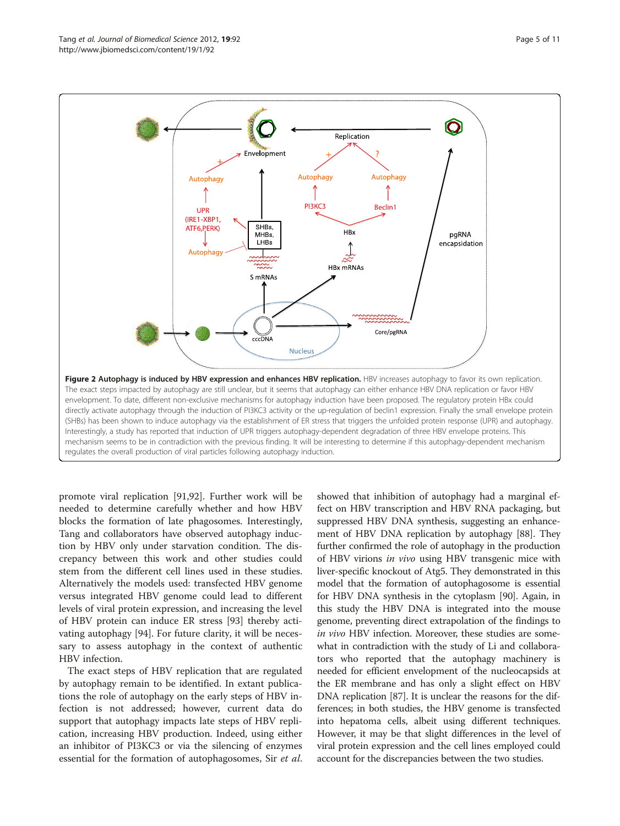<span id="page-4-0"></span>

promote viral replication [[91,92\]](#page-9-0). Further work will be needed to determine carefully whether and how HBV blocks the formation of late phagosomes. Interestingly, Tang and collaborators have observed autophagy induction by HBV only under starvation condition. The discrepancy between this work and other studies could stem from the different cell lines used in these studies. Alternatively the models used: transfected HBV genome versus integrated HBV genome could lead to different levels of viral protein expression, and increasing the level of HBV protein can induce ER stress [\[93\]](#page-9-0) thereby activating autophagy [[94](#page-9-0)]. For future clarity, it will be necessary to assess autophagy in the context of authentic HBV infection.

The exact steps of HBV replication that are regulated by autophagy remain to be identified. In extant publications the role of autophagy on the early steps of HBV infection is not addressed; however, current data do support that autophagy impacts late steps of HBV replication, increasing HBV production. Indeed, using either an inhibitor of PI3KC3 or via the silencing of enzymes essential for the formation of autophagosomes, Sir et al.

showed that inhibition of autophagy had a marginal effect on HBV transcription and HBV RNA packaging, but suppressed HBV DNA synthesis, suggesting an enhancement of HBV DNA replication by autophagy [\[88](#page-9-0)]. They further confirmed the role of autophagy in the production of HBV virions in vivo using HBV transgenic mice with liver-specific knockout of Atg5. They demonstrated in this model that the formation of autophagosome is essential for HBV DNA synthesis in the cytoplasm [[90\]](#page-9-0). Again, in this study the HBV DNA is integrated into the mouse genome, preventing direct extrapolation of the findings to in vivo HBV infection. Moreover, these studies are somewhat in contradiction with the study of Li and collaborators who reported that the autophagy machinery is needed for efficient envelopment of the nucleocapsids at the ER membrane and has only a slight effect on HBV DNA replication [[87](#page-9-0)]. It is unclear the reasons for the differences; in both studies, the HBV genome is transfected into hepatoma cells, albeit using different techniques. However, it may be that slight differences in the level of viral protein expression and the cell lines employed could account for the discrepancies between the two studies.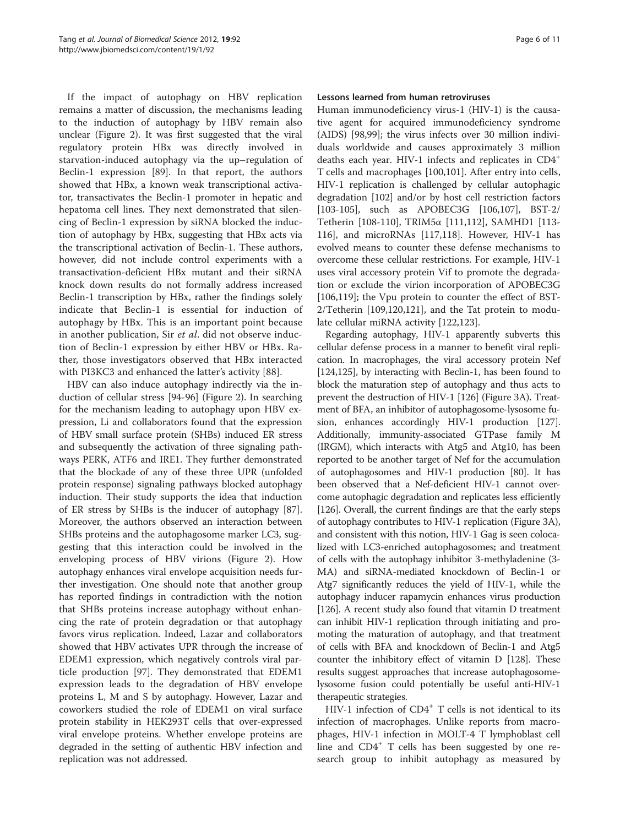If the impact of autophagy on HBV replication remains a matter of discussion, the mechanisms leading to the induction of autophagy by HBV remain also unclear (Figure [2\)](#page-4-0). It was first suggested that the viral regulatory protein HBx was directly involved in starvation-induced autophagy via the up–regulation of Beclin-1 expression [[89\]](#page-9-0). In that report, the authors showed that HBx, a known weak transcriptional activator, transactivates the Beclin-1 promoter in hepatic and hepatoma cell lines. They next demonstrated that silencing of Beclin-1 expression by siRNA blocked the induction of autophagy by HBx, suggesting that HBx acts via the transcriptional activation of Beclin-1. These authors, however, did not include control experiments with a transactivation-deficient HBx mutant and their siRNA knock down results do not formally address increased Beclin-1 transcription by HBx, rather the findings solely indicate that Beclin-1 is essential for induction of autophagy by HBx. This is an important point because in another publication, Sir et al. did not observe induction of Beclin-1 expression by either HBV or HBx. Rather, those investigators observed that HBx interacted with PI3KC3 and enhanced the latter's activity [[88\]](#page-9-0).

HBV can also induce autophagy indirectly via the induction of cellular stress [[94](#page-9-0)-[96\]](#page-9-0) (Figure [2](#page-4-0)). In searching for the mechanism leading to autophagy upon HBV expression, Li and collaborators found that the expression of HBV small surface protein (SHBs) induced ER stress and subsequently the activation of three signaling pathways PERK, ATF6 and IRE1. They further demonstrated that the blockade of any of these three UPR (unfolded protein response) signaling pathways blocked autophagy induction. Their study supports the idea that induction of ER stress by SHBs is the inducer of autophagy [\[87](#page-9-0)]. Moreover, the authors observed an interaction between SHBs proteins and the autophagosome marker LC3, suggesting that this interaction could be involved in the enveloping process of HBV virions (Figure [2](#page-4-0)). How autophagy enhances viral envelope acquisition needs further investigation. One should note that another group has reported findings in contradiction with the notion that SHBs proteins increase autophagy without enhancing the rate of protein degradation or that autophagy favors virus replication. Indeed, Lazar and collaborators showed that HBV activates UPR through the increase of EDEM1 expression, which negatively controls viral particle production [[97](#page-9-0)]. They demonstrated that EDEM1 expression leads to the degradation of HBV envelope proteins L, M and S by autophagy. However, Lazar and coworkers studied the role of EDEM1 on viral surface protein stability in HEK293T cells that over-expressed viral envelope proteins. Whether envelope proteins are degraded in the setting of authentic HBV infection and replication was not addressed.

#### Lessons learned from human retroviruses

Human immunodeficiency virus-1 (HIV-1) is the causative agent for acquired immunodeficiency syndrome (AIDS) [[98](#page-9-0),[99](#page-9-0)]; the virus infects over 30 million individuals worldwide and causes approximately 3 million deaths each year. HIV-1 infects and replicates in CD4<sup>+</sup> T cells and macrophages [[100,101](#page-9-0)]. After entry into cells, HIV-1 replication is challenged by cellular autophagic degradation [[102\]](#page-9-0) and/or by host cell restriction factors [[103-105\]](#page-9-0), such as APOBEC3G [[106,107](#page-9-0)], BST-2/ Tetherin [\[108](#page-10-0)-[110](#page-10-0)], TRIM5α [\[111,112](#page-10-0)], SAMHD1 [\[113-](#page-10-0) [116](#page-10-0)], and microRNAs [[117](#page-10-0),[118](#page-10-0)]. However, HIV-1 has evolved means to counter these defense mechanisms to overcome these cellular restrictions. For example, HIV-1 uses viral accessory protein Vif to promote the degradation or exclude the virion incorporation of APOBEC3G [[106,](#page-9-0)[119](#page-10-0)]; the Vpu protein to counter the effect of BST-2/Tetherin [[109](#page-10-0),[120,121](#page-10-0)], and the Tat protein to modulate cellular miRNA activity [\[122,123](#page-10-0)].

Regarding autophagy, HIV-1 apparently subverts this cellular defense process in a manner to benefit viral replication. In macrophages, the viral accessory protein Nef [[124,125\]](#page-10-0), by interacting with Beclin-1, has been found to block the maturation step of autophagy and thus acts to prevent the destruction of HIV-1 [[126](#page-10-0)] (Figure [3A\)](#page-6-0). Treatment of BFA, an inhibitor of autophagosome-lysosome fusion, enhances accordingly HIV-1 production [\[127](#page-10-0)]. Additionally, immunity-associated GTPase family M (IRGM), which interacts with Atg5 and Atg10, has been reported to be another target of Nef for the accumulation of autophagosomes and HIV-1 production [\[80](#page-9-0)]. It has been observed that a Nef-deficient HIV-1 cannot overcome autophagic degradation and replicates less efficiently [[126](#page-10-0)]. Overall, the current findings are that the early steps of autophagy contributes to HIV-1 replication (Figure [3A](#page-6-0)), and consistent with this notion, HIV-1 Gag is seen colocalized with LC3-enriched autophagosomes; and treatment of cells with the autophagy inhibitor 3-methyladenine (3- MA) and siRNA-mediated knockdown of Beclin-1 or Atg7 significantly reduces the yield of HIV-1, while the autophagy inducer rapamycin enhances virus production [[126](#page-10-0)]. A recent study also found that vitamin D treatment can inhibit HIV-1 replication through initiating and promoting the maturation of autophagy, and that treatment of cells with BFA and knockdown of Beclin-1 and Atg5 counter the inhibitory effect of vitamin D [\[128\]](#page-10-0). These results suggest approaches that increase autophagosomelysosome fusion could potentially be useful anti-HIV-1 therapeutic strategies.

HIV-1 infection of CD4<sup>+</sup> T cells is not identical to its infection of macrophages. Unlike reports from macrophages, HIV-1 infection in MOLT-4 T lymphoblast cell line and CD4<sup>+</sup> T cells has been suggested by one research group to inhibit autophagy as measured by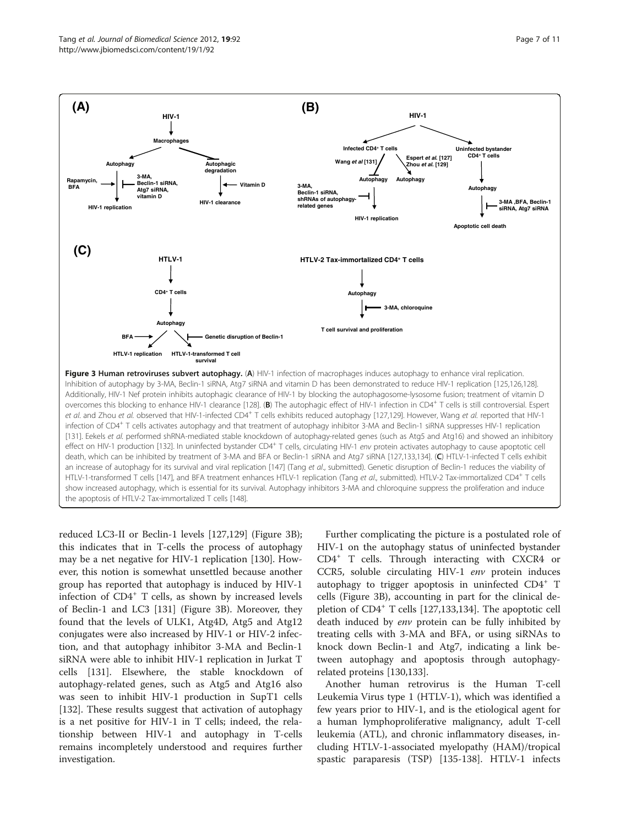<span id="page-6-0"></span>

reduced LC3-II or Beclin-1 levels [\[127,129\]](#page-10-0) (Figure 3B); this indicates that in T-cells the process of autophagy may be a net negative for HIV-1 replication [\[130\]](#page-10-0). However, this notion is somewhat unsettled because another group has reported that autophagy is induced by HIV-1 infection of  $CD4^+$  T cells, as shown by increased levels of Beclin-1 and LC3 [\[131\]](#page-10-0) (Figure 3B). Moreover, they found that the levels of ULK1, Atg4D, Atg5 and Atg12 conjugates were also increased by HIV-1 or HIV-2 infection, and that autophagy inhibitor 3-MA and Beclin-1 siRNA were able to inhibit HIV-1 replication in Jurkat T cells [\[131\]](#page-10-0). Elsewhere, the stable knockdown of autophagy-related genes, such as Atg5 and Atg16 also was seen to inhibit HIV-1 production in SupT1 cells [[132\]](#page-10-0). These results suggest that activation of autophagy is a net positive for HIV-1 in T cells; indeed, the relationship between HIV-1 and autophagy in T-cells remains incompletely understood and requires further investigation.

Further complicating the picture is a postulated role of HIV-1 on the autophagy status of uninfected bystander CD4<sup>+</sup> T cells. Through interacting with CXCR4 or CCR5, soluble circulating HIV-1 env protein induces autophagy to trigger apoptosis in uninfected  $CD4^+$  T cells (Figure 3B), accounting in part for the clinical de-pletion of CD4<sup>+</sup> T cells [[127](#page-10-0),[133,134](#page-10-0)]. The apoptotic cell death induced by *env* protein can be fully inhibited by treating cells with 3-MA and BFA, or using siRNAs to knock down Beclin-1 and Atg7, indicating a link between autophagy and apoptosis through autophagyrelated proteins [[130,133\]](#page-10-0).

Another human retrovirus is the Human T-cell Leukemia Virus type 1 (HTLV-1), which was identified a few years prior to HIV-1, and is the etiological agent for a human lymphoproliferative malignancy, adult T-cell leukemia (ATL), and chronic inflammatory diseases, including HTLV-1-associated myelopathy (HAM)/tropical spastic paraparesis (TSP) [\[135](#page-10-0)-[138\]](#page-10-0). HTLV-1 infects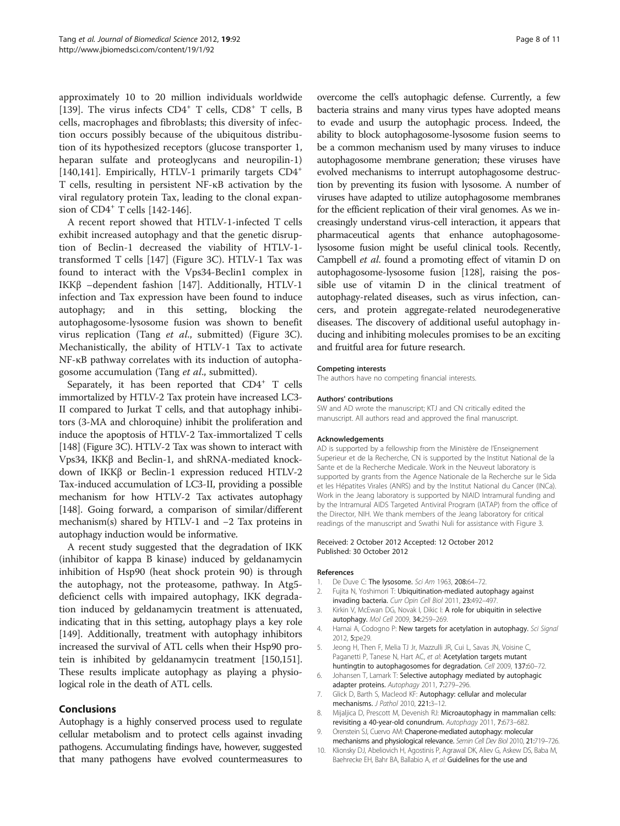<span id="page-7-0"></span>approximately 10 to 20 million individuals worldwide [[139\]](#page-10-0). The virus infects  $CD4^+$  T cells,  $CD8^+$  T cells, B cells, macrophages and fibroblasts; this diversity of infection occurs possibly because of the ubiquitous distribution of its hypothesized receptors (glucose transporter 1, heparan sulfate and proteoglycans and neuropilin-1) [[140,141](#page-10-0)]. Empirically, HTLV-1 primarily targets  $CD4^+$ T cells, resulting in persistent NF-κB activation by the viral regulatory protein Tax, leading to the clonal expansion of CD4<sup>+</sup> T cells [[142-146\]](#page-10-0).

A recent report showed that HTLV-1-infected T cells exhibit increased autophagy and that the genetic disruption of Beclin-1 decreased the viability of HTLV-1 transformed T cells [\[147\]](#page-10-0) (Figure [3C](#page-6-0)). HTLV-1 Tax was found to interact with the Vps34-Beclin1 complex in IKKβ –dependent fashion [[147](#page-10-0)]. Additionally, HTLV-1 infection and Tax expression have been found to induce autophagy; and in this setting, blocking the autophagosome-lysosome fusion was shown to benefit virus replication (Tang et al., submitted) (Figure [3C](#page-6-0)). Mechanistically, the ability of HTLV-1 Tax to activate NF-κB pathway correlates with its induction of autophagosome accumulation (Tang et al., submitted).

Separately, it has been reported that  $CD4^+$  T cells immortalized by HTLV-2 Tax protein have increased LC3- II compared to Jurkat T cells, and that autophagy inhibitors (3-MA and chloroquine) inhibit the proliferation and induce the apoptosis of HTLV-2 Tax-immortalized T cells [[148](#page-10-0)] (Figure [3C](#page-6-0)). HTLV-2 Tax was shown to interact with Vps34, IKKβ and Beclin-1, and shRNA-mediated knockdown of IKKβ or Beclin-1 expression reduced HTLV-2 Tax-induced accumulation of LC3-II, providing a possible mechanism for how HTLV-2 Tax activates autophagy [[148](#page-10-0)]. Going forward, a comparison of similar/different mechanism(s) shared by HTLV-1 and −2 Tax proteins in autophagy induction would be informative.

A recent study suggested that the degradation of IKK (inhibitor of kappa B kinase) induced by geldanamycin inhibition of Hsp90 (heat shock protein 90) is through the autophagy, not the proteasome, pathway. In Atg5 deficienct cells with impaired autophagy, IKK degradation induced by geldanamycin treatment is attenuated, indicating that in this setting, autophagy plays a key role [[149](#page-10-0)]. Additionally, treatment with autophagy inhibitors increased the survival of ATL cells when their Hsp90 protein is inhibited by geldanamycin treatment [\[150,151](#page-10-0)]. These results implicate autophagy as playing a physiological role in the death of ATL cells.

Autophagy is a highly conserved process used to regulate cellular metabolism and to protect cells against invading pathogens. Accumulating findings have, however, suggested that many pathogens have evolved countermeasures to overcome the cell's autophagic defense. Currently, a few bacteria strains and many virus types have adopted means to evade and usurp the autophagic process. Indeed, the ability to block autophagosome-lysosome fusion seems to be a common mechanism used by many viruses to induce autophagosome membrane generation; these viruses have evolved mechanisms to interrupt autophagosome destruction by preventing its fusion with lysosome. A number of viruses have adapted to utilize autophagosome membranes for the efficient replication of their viral genomes. As we increasingly understand virus-cell interaction, it appears that pharmaceutical agents that enhance autophagosomelysosome fusion might be useful clinical tools. Recently, Campbell et al. found a promoting effect of vitamin D on autophagosome-lysosome fusion [\[128\]](#page-10-0), raising the possible use of vitamin D in the clinical treatment of autophagy-related diseases, such as virus infection, cancers, and protein aggregate-related neurodegenerative diseases. The discovery of additional useful autophagy inducing and inhibiting molecules promises to be an exciting and fruitful area for future research.

#### Competing interests

The authors have no competing financial interests.

#### Authors' contributions

SW and AD wrote the manuscript; KTJ and CN critically edited the manuscript. All authors read and approved the final manuscript.

#### Acknowledgements

AD is supported by a fellowship from the Ministère de l'Enseignement Superieur et de la Recherche, CN is supported by the Institut National de la Sante et de la Recherche Medicale. Work in the Neuveut laboratory is supported by grants from the Agence Nationale de la Recherche sur le Sida et les Hépatites Virales (ANRS) and by the Institut National du Cancer (INCa). Work in the Jeang laboratory is supported by NIAID Intramural funding and by the Intramural AIDS Targeted Antiviral Program (IATAP) from the office of the Director, NIH. We thank members of the Jeang laboratory for critical readings of the manuscript and Swathi Nuli for assistance with Figure 3.

#### Received: 2 October 2012 Accepted: 12 October 2012 Published: 30 October 2012

#### References

- De Duve C: The lysosome. Sci Am 1963, 208:64-72.
- 2. Fujita N, Yoshimori T: Ubiquitination-mediated autophagy against invading bacteria. Curr Opin Cell Biol 2011, 23:492–497.
- Kirkin V, McEwan DG, Novak I, Dikic I: A role for ubiquitin in selective autophagy. Mol Cell 2009, 34:259–269.
- 4. Hamai A, Codogno P: New targets for acetylation in autophagy. Sci Signal 2012, 5:pe29.
- 5. Jeong H, Then F, Melia TJ Jr, Mazzulli JR, Cui L, Savas JN, Voisine C, Paganetti P, Tanese N, Hart AC, et al: Acetylation targets mutant huntingtin to autophagosomes for degradation. Cell 2009, 137:60-72.
- 6. Johansen T, Lamark T: Selective autophagy mediated by autophagic adapter proteins. Autophagy 2011, 7:279–296.
- 7. Glick D, Barth S, Macleod KF: Autophagy: cellular and molecular mechanisms. J Pathol 2010, 221:3–12.
- 8. Mijaljica D, Prescott M, Devenish RJ: Microautophagy in mammalian cells: revisiting a 40-year-old conundrum. Autophagy 2011, 7:673–682.
- 9. Orenstein SJ, Cuervo AM: Chaperone-mediated autophagy: molecular mechanisms and physiological relevance. Semin Cell Dev Biol 2010, 21:719–726.
- 10. Klionsky DJ, Abeliovich H, Agostinis P, Agrawal DK, Aliev G, Askew DS, Baba M, Baehrecke EH, Bahr BA, Ballabio A, et al: Guidelines for the use and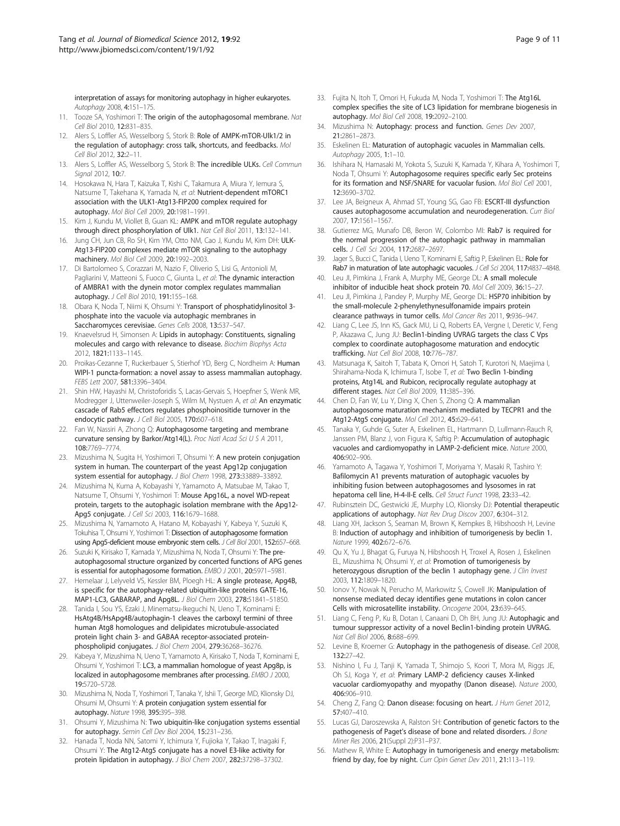<span id="page-8-0"></span>interpretation of assays for monitoring autophagy in higher eukaryotes. Autophagy 2008, 4:151–175.

- 11. Tooze SA, Yoshimori T: The origin of the autophagosomal membrane. Nat Cell Biol 2010, 12:831–835.
- 12. Alers S, Loffler AS, Wesselborg S, Stork B: Role of AMPK-mTOR-Ulk1/2 in the regulation of autophagy: cross talk, shortcuts, and feedbacks. Mol Cell Biol 2012, 32:2–11.
- 13. Alers S, Loffler AS, Wesselborg S, Stork B: The incredible ULKs. Cell Commun Signal 2012, 10:7.
- 14. Hosokawa N, Hara T, Kaizuka T, Kishi C, Takamura A, Miura Y, Iemura S, Natsume T, Takehana K, Yamada N, et al: Nutrient-dependent mTORC1 association with the ULK1-Atg13-FIP200 complex required for autophagy. Mol Biol Cell 2009, 20:1981–1991.
- 15. Kim J, Kundu M, Viollet B, Guan KL: AMPK and mTOR regulate autophagy through direct phosphorylation of Ulk1. Nat Cell Biol 2011, 13:132–141.
- 16. Jung CH, Jun CB, Ro SH, Kim YM, Otto NM, Cao J, Kundu M, Kim DH: ULK-Atg13-FIP200 complexes mediate mTOR signaling to the autophagy machinery. Mol Biol Cell 2009, 20:1992–2003.
- 17. Di Bartolomeo S, Corazzari M, Nazio F, Oliverio S, Lisi G, Antonioli M, Pagliarini V, Matteoni S, Fuoco C, Giunta L, et al: The dynamic interaction of AMBRA1 with the dynein motor complex regulates mammalian autophagy. J Cell Biol 2010, 191:155-168.
- 18. Obara K, Noda T, Niimi K, Ohsumi Y: Transport of phosphatidylinositol 3phosphate into the vacuole via autophagic membranes in Saccharomyces cerevisiae. Genes Cells 2008, 13:537–547.
- 19. Knaevelsrud H, Simonsen A: Lipids in autophagy: Constituents, signaling molecules and cargo with relevance to disease. Biochim Biophys Acta 2012, 1821:1133–1145.
- 20. Proikas-Cezanne T, Ruckerbauer S, Stierhof YD, Berg C, Nordheim A: Human WIPI-1 puncta-formation: a novel assay to assess mammalian autophagy. FEBS Lett 2007, 581:3396–3404.
- 21. Shin HW, Hayashi M, Christoforidis S, Lacas-Gervais S, Hoepfner S, Wenk MR, Modregger J, Uttenweiler-Joseph S, Wilm M, Nystuen A, et al: An enzymatic cascade of Rab5 effectors regulates phosphoinositide turnover in the endocytic pathway. J Cell Biol 2005, 170:607-618.
- 22. Fan W, Nassiri A, Zhong Q: Autophagosome targeting and membrane curvature sensing by Barkor/Atg14(L). Proc Natl Acad Sci U S A 2011, 108:7769–7774.
- 23. Mizushima N, Sugita H, Yoshimori T, Ohsumi Y: A new protein conjugation system in human. The counterpart of the yeast Apg12p conjugation system essential for autophagy. J Biol Chem 1998, 273:33889–33892.
- 24. Mizushima N, Kuma A, Kobayashi Y, Yamamoto A, Matsubae M, Takao T, Natsume T, Ohsumi Y, Yoshimori T: Mouse Apg16L, a novel WD-repeat protein, targets to the autophagic isolation membrane with the Apg12- Apg5 conjugate. J Cell Sci 2003, 116:1679–1688.
- 25. Mizushima N, Yamamoto A, Hatano M, Kobayashi Y, Kabeya Y, Suzuki K, Tokuhisa T, Ohsumi Y, Yoshimori T: Dissection of autophagosome formation using Apg5-deficient mouse embryonic stem cells. J Cell Biol 2001, 152:657-668.
- 26. Suzuki K, Kirisako T, Kamada Y, Mizushima N, Noda T, Ohsumi Y: The preautophagosomal structure organized by concerted functions of APG genes is essential for autophagosome formation. EMBO J 2001, 20:5971-5981.
- 27. Hemelaar J, Lelyveld VS, Kessler BM, Ploegh HL: A single protease, Apg4B, is specific for the autophagy-related ubiquitin-like proteins GATE-16, MAP1-LC3, GABARAP, and Apg8L. J Biol Chem 2003, 278:51841–51850.
- 28. Tanida I, Sou YS, Ezaki J, Minematsu-Ikeguchi N, Ueno T, Kominami E: HsAtg4B/HsApg4B/autophagin-1 cleaves the carboxyl termini of three human Atg8 homologues and delipidates microtubule-associated protein light chain 3- and GABAA receptor-associated proteinphospholipid conjugates. J Biol Chem 2004, 279:36268–36276.
- 29. Kabeya Y, Mizushima N, Ueno T, Yamamoto A, Kirisako T, Noda T, Kominami E, Ohsumi Y, Yoshimori T: LC3, a mammalian homologue of yeast Apg8p, is localized in autophagosome membranes after processing. EMBO J 2000, 19:5720–5728.
- 30. Mizushima N, Noda T, Yoshimori T, Tanaka Y, Ishii T, George MD, Klionsky DJ, Ohsumi M, Ohsumi Y: A protein conjugation system essential for autophagy. Nature 1998, 395:395–398.
- 31. Ohsumi Y, Mizushima N: Two ubiquitin-like conjugation systems essential for autophagy. Semin Cell Dev Biol 2004, 15:231–236.
- 32. Hanada T, Noda NN, Satomi Y, Ichimura Y, Fujioka Y, Takao T, Inagaki F, Ohsumi Y: The Atg12-Atg5 conjugate has a novel E3-like activity for protein lipidation in autophagy. J Biol Chem 2007, 282:37298-37302.
- 33. Fujita N, Itoh T, Omori H, Fukuda M, Noda T, Yoshimori T: The Atg16L complex specifies the site of LC3 lipidation for membrane biogenesis in autophagy. Mol Biol Cell 2008, 19:2092–2100.
- 34. Mizushima N: Autophagy: process and function. Genes Dev 2007, 21:2861–2873.
- 35. Eskelinen EL: Maturation of autophagic vacuoles in Mammalian cells. Autophagy 2005, 1:1–10.
- 36. Ishihara N, Hamasaki M, Yokota S, Suzuki K, Kamada Y, Kihara A, Yoshimori T, Noda T, Ohsumi Y: Autophagosome requires specific early Sec proteins for its formation and NSF/SNARE for vacuolar fusion. Mol Biol Cell 2001, 12:3690–3702.
- 37. Lee JA, Beigneux A, Ahmad ST, Young SG, Gao FB: ESCRT-III dysfunction causes autophagosome accumulation and neurodegeneration. Curr Biol 2007, 17:1561–1567.
- 38. Gutierrez MG, Munafo DB, Beron W, Colombo MI: Rab7 is required for the normal progression of the autophagic pathway in mammalian cells. J Cell Sci 2004, 117:2687–2697.
- Jager S, Bucci C, Tanida I, Ueno T, Kominami E, Saftig P, Eskelinen EL: Role for Rab7 in maturation of late autophagic vacuoles. J Cell Sci 2004, 117:4837-4848.
- 40. Leu Jl, Pimkina J, Frank A, Murphy ME, George DL: A small molecule inhibitor of inducible heat shock protein 70. Mol Cell 2009, 36:15–27.
- 41. Leu Jl, Pimkina J, Pandey P, Murphy ME, George DL: HSP70 inhibition by the small-molecule 2-phenylethynesulfonamide impairs protein clearance pathways in tumor cells. Mol Cancer Res 2011, 9:936–947.
- 42. Liang C, Lee JS, Inn KS, Gack MU, Li Q, Roberts EA, Vergne I, Deretic V, Feng P, Akazawa C, Jung JU: Beclin1-binding UVRAG targets the class C Vps complex to coordinate autophagosome maturation and endocytic trafficking. Nat Cell Biol 2008, 10:776–787.
- 43. Matsunaga K, Saitoh T, Tabata K, Omori H, Satoh T, Kurotori N, Maejima I, Shirahama-Noda K, Ichimura T, Isobe T, et al: Two Beclin 1-binding proteins, Atg14L and Rubicon, reciprocally regulate autophagy at different stages. Nat Cell Biol 2009, 11:385–396.
- 44. Chen D, Fan W, Lu Y, Ding X, Chen S, Zhong Q: A mammalian autophagosome maturation mechanism mediated by TECPR1 and the Atg12-Atg5 conjugate. Mol Cell 2012, 45:629–641.
- 45. Tanaka Y, Guhde G, Suter A, Eskelinen EL, Hartmann D, Lullmann-Rauch R, Janssen PM, Blanz J, von Figura K, Saftig P: Accumulation of autophagic vacuoles and cardiomyopathy in LAMP-2-deficient mice. Nature 2000, 406:902–906.
- 46. Yamamoto A, Tagawa Y, Yoshimori T, Moriyama Y, Masaki R, Tashiro Y: Bafilomycin A1 prevents maturation of autophagic vacuoles by inhibiting fusion between autophagosomes and lysosomes in rat hepatoma cell line, H-4-II-E cells. Cell Struct Funct 1998, 23:33-42.
- 47. Rubinsztein DC, Gestwicki JE, Murphy LO, Klionsky DJ: Potential therapeutic applications of autophagy. Nat Rev Drug Discov 2007, 6:304–312.
- 48. Liang XH, Jackson S, Seaman M, Brown K, Kempkes B, Hibshoosh H, Levine B: Induction of autophagy and inhibition of tumorigenesis by beclin 1. Nature 1999, 402:672–676.
- 49. Qu X, Yu J, Bhagat G, Furuya N, Hibshoosh H, Troxel A, Rosen J, Eskelinen EL, Mizushima N, Ohsumi Y, et al: Promotion of tumorigenesis by heterozygous disruption of the beclin 1 autophagy gene. J Clin Invest 2003, 112:1809–1820.
- 50. Ionov Y, Nowak N, Perucho M, Markowitz S, Cowell JK: Manipulation of nonsense mediated decay identifies gene mutations in colon cancer Cells with microsatellite instability. Oncogene 2004, 23:639–645.
- 51. Liang C, Feng P, Ku B, Dotan I, Canaani D, Oh BH, Jung JU: Autophagic and tumour suppressor activity of a novel Beclin1-binding protein UVRAG. Nat Cell Biol 2006, 8:688–699.
- 52. Levine B, Kroemer G: Autophagy in the pathogenesis of disease. Cell 2008, 132:27–42.
- 53. Nishino I, Fu J, Tanji K, Yamada T, Shimojo S, Koori T, Mora M, Riggs JE, Oh SJ, Koga Y, et al: Primary LAMP-2 deficiency causes X-linked vacuolar cardiomyopathy and myopathy (Danon disease). Nature 2000, 406:906–910.
- 54. Cheng Z, Fang Q: Danon disease: focusing on heart. J Hum Genet 2012, 57:407–410.
- 55. Lucas GJ, Daroszewska A, Ralston SH: Contribution of genetic factors to the pathogenesis of Paget's disease of bone and related disorders. J Bone Miner Res 2006, 21(Suppl 2):P31–P37.
- 56. Mathew R, White E: Autophagy in tumorigenesis and energy metabolism: friend by day, foe by night. Curr Opin Genet Dev 2011, 21:113-119.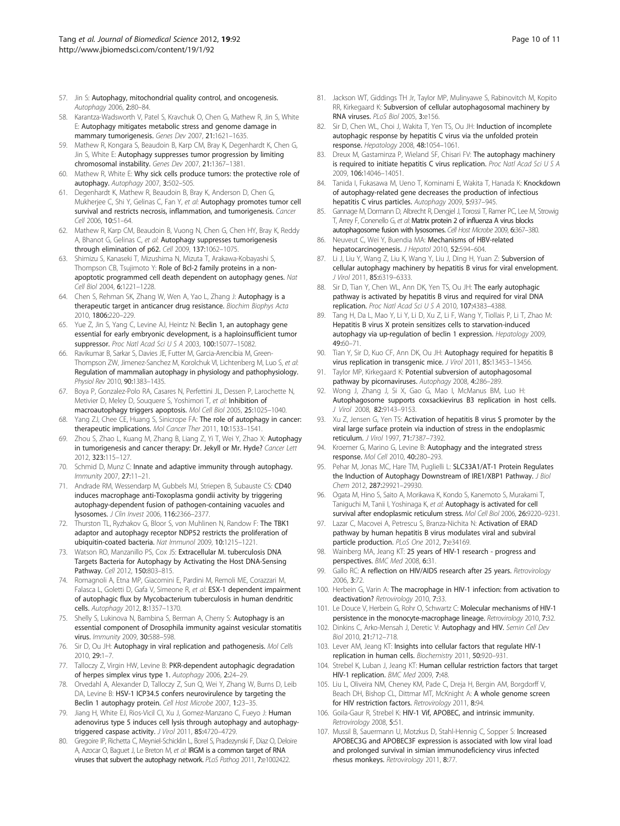- <span id="page-9-0"></span>57. Jin S: Autophagy, mitochondrial quality control, and oncogenesis. Autophagy 2006, 2:80–84.
- 58. Karantza-Wadsworth V, Patel S, Kravchuk O, Chen G, Mathew R, Jin S, White E: Autophagy mitigates metabolic stress and genome damage in mammary tumorigenesis. Genes Dev 2007, 21:1621-1635.
- 59. Mathew R, Kongara S, Beaudoin B, Karp CM, Bray K, Degenhardt K, Chen G, Jin S, White E: Autophagy suppresses tumor progression by limiting chromosomal instability. Genes Dev 2007, 21:1367–1381.
- 60. Mathew R, White E: Why sick cells produce tumors: the protective role of autophagy. Autophagy 2007, 3:502–505.
- 61. Degenhardt K, Mathew R, Beaudoin B, Bray K, Anderson D, Chen G, Mukherjee C, Shi Y, Gelinas C, Fan Y, et al: Autophagy promotes tumor cell survival and restricts necrosis, inflammation, and tumorigenesis. Cancer Cell 2006, 10:51–64.
- 62. Mathew R, Karp CM, Beaudoin B, Vuong N, Chen G, Chen HY, Bray K, Reddy A, Bhanot G, Gelinas C, et al: Autophagy suppresses tumorigenesis through elimination of p62. Cell 2009, 137:1062–1075.
- 63. Shimizu S, Kanaseki T, Mizushima N, Mizuta T, Arakawa-Kobayashi S, Thompson CB, Tsujimoto Y: Role of Bcl-2 family proteins in a nonapoptotic programmed cell death dependent on autophagy genes. Nat Cell Biol 2004, 6:1221–1228.
- 64. Chen S, Rehman SK, Zhang W, Wen A, Yao L, Zhang J: Autophagy is a therapeutic target in anticancer drug resistance. Biochim Biophys Acta 2010, 1806:220–229.
- 65. Yue Z, Jin S, Yang C, Levine AJ, Heintz N: Beclin 1, an autophagy gene essential for early embryonic development, is a haploinsufficient tumor suppressor. Proc Natl Acad Sci U S A 2003, 100:15077–15082.
- 66. Ravikumar B, Sarkar S, Davies JE, Futter M, Garcia-Arencibia M, Green-Thompson ZW, Jimenez-Sanchez M, Korolchuk VI, Lichtenberg M, Luo S, et al: Regulation of mammalian autophagy in physiology and pathophysiology. Physiol Rev 2010, 90:1383–1435.
- 67. Boya P, Gonzalez-Polo RA, Casares N, Perfettini JL, Dessen P, Larochette N, Metivier D, Meley D, Souquere S, Yoshimori T, et al: Inhibition of macroautophagy triggers apoptosis. Mol Cell Biol 2005, 25:1025–1040.
- 68. Yang ZJ, Chee CE, Huang S, Sinicrope FA: The role of autophagy in cancer: therapeutic implications. Mol Cancer Ther 2011, 10:1533–1541.
- 69. Zhou S, Zhao L, Kuang M, Zhang B, Liang Z, Yi T, Wei Y, Zhao X: Autophagy in tumorigenesis and cancer therapy: Dr. Jekyll or Mr. Hyde? Cancer Lett 2012, 323:115–127.
- 70. Schmid D, Munz C: Innate and adaptive immunity through autophagy. Immunity 2007, 27:11–21.
- 71. Andrade RM, Wessendarp M, Gubbels MJ, Striepen B, Subauste CS: CD40 induces macrophage anti-Toxoplasma gondii activity by triggering autophagy-dependent fusion of pathogen-containing vacuoles and lysosomes. J Clin Invest 2006, 116:2366–2377.
- 72. Thurston TL, Ryzhakov G, Bloor S, von Muhlinen N, Randow F: The TBK1 adaptor and autophagy receptor NDP52 restricts the proliferation of ubiquitin-coated bacteria. Nat Immunol 2009, 10:1215–1221.
- 73. Watson RO, Manzanillo PS, Cox JS: Extracellular M. tuberculosis DNA Targets Bacteria for Autophagy by Activating the Host DNA-Sensing Pathway. Cell 2012, 150:803-815.
- 74. Romagnoli A, Etna MP, Giacomini E, Pardini M, Remoli ME, Corazzari M, Falasca L, Goletti D, Gafa V, Simeone R, et al: ESX-1 dependent impairment of autophagic flux by Mycobacterium tuberculosis in human dendritic cells. Autophagy 2012, 8:1357–1370.
- 75. Shelly S, Lukinova N, Bambina S, Berman A, Cherry S: Autophagy is an essential component of Drosophila immunity against vesicular stomatitis virus. Immunity 2009, 30:588–598.
- 76. Sir D, Ou JH: Autophagy in viral replication and pathogenesis. Mol Cells 2010, 29:1–7.
- 77. Talloczy Z, Virgin HW, Levine B: PKR-dependent autophagic degradation of herpes simplex virus type 1. Autophagy 2006, 2:24–29.
- 78. Orvedahl A, Alexander D, Talloczy Z, Sun Q, Wei Y, Zhang W, Burns D, Leib DA, Levine B: HSV-1 ICP34.5 confers neurovirulence by targeting the Beclin 1 autophagy protein. Cell Host Microbe 2007, 1:23–35.
- 79. Jiang H, White EJ, Rios-Vicil CI, Xu J, Gomez-Manzano C, Fueyo J: Human adenovirus type 5 induces cell lysis through autophagy and autophagytriggered caspase activity. J Virol 2011, 85:4720-4729.
- 80. Gregoire IP, Richetta C, Meyniel-Schicklin L, Borel S, Pradezynski F, Diaz O, Deloire A, Azocar O, Baguet J, Le Breton M, et al: IRGM is a common target of RNA viruses that subvert the autophagy network. PLoS Pathog 2011, 7:e1002422.
- 81. Jackson WT, Giddings TH Jr, Taylor MP, Mulinyawe S, Rabinovitch M, Kopito RR, Kirkegaard K: Subversion of cellular autophagosomal machinery by RNA viruses. PLoS Biol 2005, 3:e156.
- 82. Sir D, Chen WL, Choi J, Wakita T, Yen TS, Ou JH: Induction of incomplete autophagic response by hepatitis C virus via the unfolded protein response. Hepatology 2008, 48:1054–1061.
- 83. Dreux M, Gastaminza P, Wieland SF, Chisari FV: The autophagy machinery is required to initiate hepatitis C virus replication. Proc Natl Acad Sci U S A 2009, 106:14046–14051.
- 84. Tanida I, Fukasawa M, Ueno T, Kominami E, Wakita T, Hanada K: Knockdown of autophagy-related gene decreases the production of infectious hepatitis C virus particles. Autophagy 2009, 5:937–945.
- Gannage M, Dormann D, Albrecht R, Dengjel J, Torossi T, Ramer PC, Lee M, Strowig T, Arrey F, Conenello G, et al: Matrix protein 2 of influenza A virus blocks autophagosome fusion with lysosomes. Cell Host Microbe 2009, 6:367–380.
- 86. Neuveut C, Wei Y, Buendia MA: Mechanisms of HBV-related hepatocarcinogenesis. J Hepatol 2010, 52:594-604
- 87. Li J, Liu Y, Wang Z, Liu K, Wang Y, Liu J, Ding H, Yuan Z: Subversion of cellular autophagy machinery by hepatitis B virus for viral envelopment. J Virol 2011, 85:6319-6333.
- 88. Sir D, Tian Y, Chen WL, Ann DK, Yen TS, Ou JH: The early autophagic pathway is activated by hepatitis B virus and required for viral DNA replication. Proc Natl Acad Sci U S A 2010, 107:4383–4388.
- 89. Tang H, Da L, Mao Y, Li Y, Li D, Xu Z, Li F, Wang Y, Tiollais P, Li T, Zhao M: Hepatitis B virus X protein sensitizes cells to starvation-induced autophagy via up-regulation of beclin 1 expression. Hepatology 2009, 49:60–71.
- 90. Tian Y, Sir D, Kuo CF, Ann DK, Ou JH: Autophagy required for hepatitis B virus replication in transgenic mice. J Virol 2011, 85:13453–13456.
- 91. Taylor MP, Kirkegaard K: Potential subversion of autophagosomal pathway by picornaviruses. Autophagy 2008, 4:286-289.
- 92. Wong J, Zhang J, Si X, Gao G, Mao I, McManus BM, Luo H: Autophagosome supports coxsackievirus B3 replication in host cells. J Virol 2008, 82:9143-9153.
- 93. Xu Z, Jensen G, Yen TS: Activation of hepatitis B virus S promoter by the viral large surface protein via induction of stress in the endoplasmic reticulum. J Virol 1997, 71:7387–7392.
- 94. Kroemer G, Marino G, Levine B: Autophagy and the integrated stress response. Mol Cell 2010, 40:280–293.
- 95. Pehar M, Jonas MC, Hare TM, Puglielli L: SLC33A1/AT-1 Protein Regulates the Induction of Autophagy Downstream of IRE1/XBP1 Pathway. J Biol Chem 2012, 287:29921–29930.
- 96. Ogata M, Hino S, Saito A, Morikawa K, Kondo S, Kanemoto S, Murakami T, Taniguchi M, Tanii I, Yoshinaga K, et al: Autophagy is activated for cell survival after endoplasmic reticulum stress. Mol Cell Biol 2006, 26:9220–9231.
- 97. Lazar C, Macovei A, Petrescu S, Branza-Nichita N: Activation of ERAD pathway by human hepatitis B virus modulates viral and subviral particle production. PLoS One 2012, 7:e34169.
- 98. Wainberg MA, Jeang KT: 25 years of HIV-1 research progress and perspectives. BMC Med 2008, 6:31.
- 99. Gallo RC: A reflection on HIV/AIDS research after 25 years. Retrovirology 2006, 3:72.
- 100. Herbein G, Varin A: The macrophage in HIV-1 infection: from activation to deactivation? Retrovirology 2010, 7:33.
- 101. Le Douce V, Herbein G, Rohr O, Schwartz C: Molecular mechanisms of HIV-1 persistence in the monocyte-macrophage lineage. Retrovirology 2010, 7:32.
- 102. Dinkins C, Arko-Mensah J, Deretic V: Autophagy and HIV. Semin Cell Dev Biol 2010, 21:712–718.
- 103. Lever AM, Jeang KT: Insights into cellular factors that regulate HIV-1 replication in human cells. Biochemistry 2011, 50:920–931.
- 104. Strebel K, Luban J, Jeang KT: Human cellular restriction factors that target HIV-1 replication. BMC Med 2009, 7:48.
- 105. Liu L, Oliveira NM, Cheney KM, Pade C, Dreja H, Bergin AM, Borgdorff V, Beach DH, Bishop CL, Dittmar MT, McKnight A: A whole genome screen for HIV restriction factors. Retrovirology 2011, 8:94.
- 106. Goila-Gaur R, Strebel K: HIV-1 Vif, APOBEC, and intrinsic immunity. Retrovirology 2008, 5:51.
- 107. Mussil B, Sauermann U, Motzkus D, Stahl-Hennig C, Sopper S: Increased APOBEC3G and APOBEC3F expression is associated with low viral load and prolonged survival in simian immunodeficiency virus infected rhesus monkeys. Retrovirology 2011, 8:77.